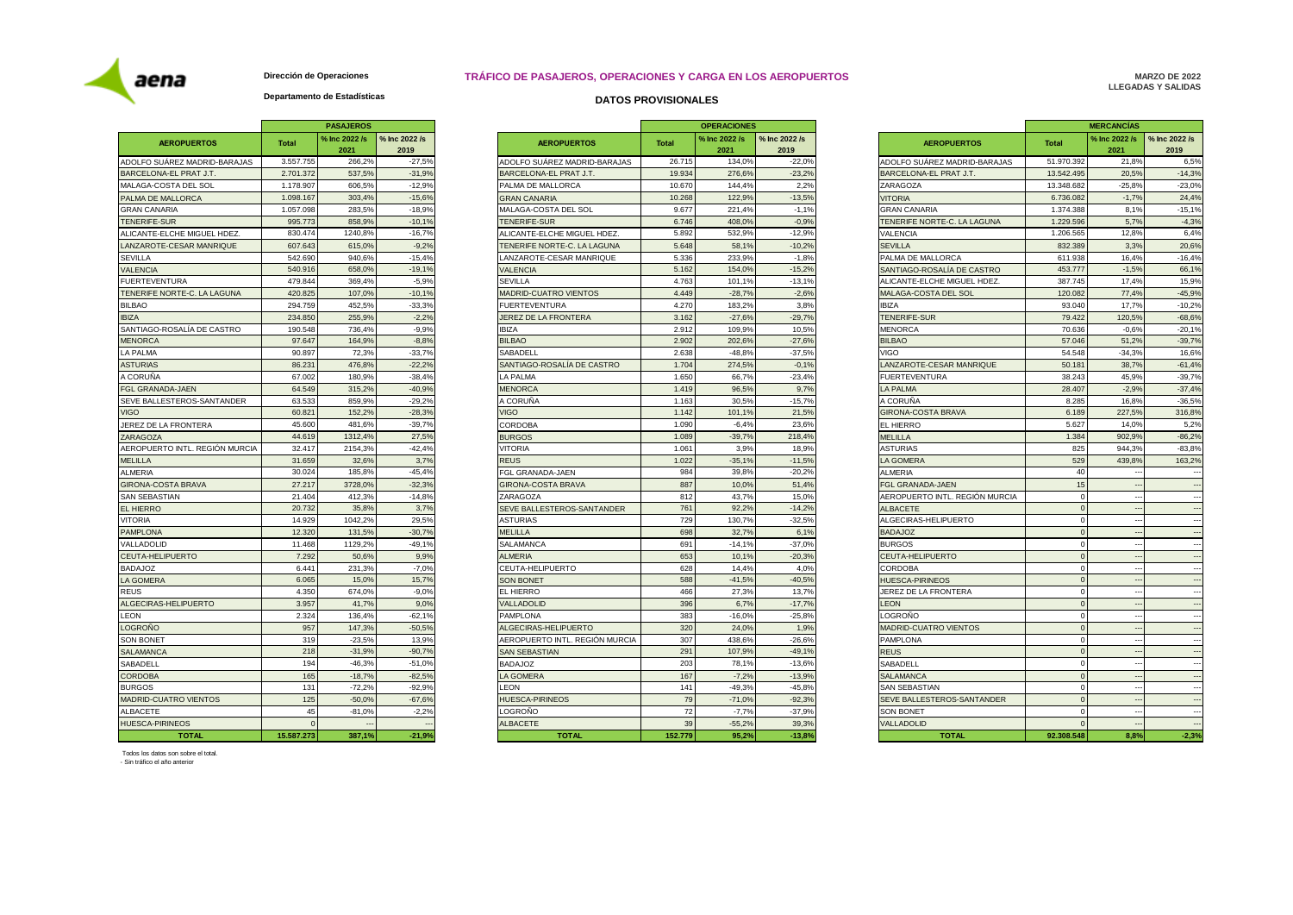## **DATOS PROVISIONALES TRÁFICO DE PASAJEROS, OPERACIONES Y CARGA EN LOS AEROPUERTOS**

# **MARZO DE 2022 LLEGADAS Y SALIDAS**

### **Departamento de Estadísticas Dirección de Operaciones**

|                                |              | <b>PASAJEROS</b>      |                       |                       |
|--------------------------------|--------------|-----------------------|-----------------------|-----------------------|
| <b>AEROPUERTOS</b>             | <b>Total</b> | % Inc 2022 /s<br>2021 | % Inc 2022 /s<br>2019 |                       |
| ADOLFO SUÁREZ MADRID-BARAJAS   | 3.557.755    | 266,2%                | $-27,5%$              | ADOLFO SU             |
| BARCELONA-EL PRAT J.T.         | 2.701.372    | 537,5%                | $-31,9%$              | <b>BARCELON</b>       |
| MALAGA-COSTA DEL SOL           | 1.178.907    | 606,5%                | $-12.9%$              | PALMA DE N            |
| PALMA DE MALLORCA              | 1.098.167    | 303,4%                | $-15,6%$              | <b>GRAN CANA</b>      |
| <b>GRAN CANARIA</b>            | 1.057.098    | 283,5%                | $-18,9%$              | MALAGA-CC             |
| <b>TENERIFE-SUR</b>            | 995.773      | 858,9%                | $-10,1%$              | TENERIFE-S            |
| ALICANTE-ELCHE MIGUEL HDEZ.    | 830.474      | 1240,8%               | $-16,7%$              | ALICANTE-E            |
| LANZAROTE-CESAR MANRIQUE       | 607.643      | 615,0%                | $-9,2%$               | <b>TENERIFE N</b>     |
| <b>SEVILLA</b>                 | 542.690      | 940,6%                | $-15,4%$              | LANZAROTE             |
| <b>VALENCIA</b>                | 540.916      | 658,0%                | $-19,1%$              | <b>VALENCIA</b>       |
| <b>FUERTEVENTURA</b>           | 479.844      | 369,4%                | $-5,9%$               | SEVILLA               |
| TENERIFE NORTE-C. LA LAGUNA    | 420.825      | 107,0%                | $-10,1%$              | MADRID-CU             |
| <b>BILBAO</b>                  | 294.759      | 452,5%                | $-33,3%$              | <b>FUERTEVEN</b>      |
| <b>IBIZA</b>                   | 234.850      | 255,9%                | $-2.2%$               | JEREZ DE L            |
| SANTIAGO-ROSALÍA DE CASTRO     | 190.548      | 736,4%                | $-9,9%$               | <b>IBIZA</b>          |
| <b>MENORCA</b>                 | 97.647       | 164,9%                | $-8,8%$               | <b>BILBAO</b>         |
| LA PALMA                       | 90.897       | 72,3%                 | $-33,7%$              | SABADELL              |
| <b>ASTURIAS</b>                | 86.231       | 476,8%                | $-22,2%$              | <b>SANTIAGO-F</b>     |
| A CORUÑA                       | 67.002       | 180.9%                | $-38.4%$              | LA PALMA              |
| FGL GRANADA-JAEN               | 64.549       | 315,2%                | $-40,9%$              | <b>MENORCA</b>        |
| SEVE BALLESTEROS-SANTANDER     | 63.533       | 859,9%                | $-29,2%$              | A CORUÑA              |
| <b>VIGO</b>                    | 60.821       | 152,2%                | $-28,3%$              | <b>VIGO</b>           |
| JEREZ DE LA FRONTERA           | 45.600       | 481,6%                | $-39,7%$              | CORDOBA               |
| ZARAGOZA                       | 44.619       | 1312,4%               | 27,5%                 | <b>BURGOS</b>         |
| AEROPUERTO INTL. REGIÓN MURCIA | 32.417       | 2154,3%               | $-42,4%$              | <b>VITORIA</b>        |
| <b>MELILLA</b>                 | 31.659       | 32,6%                 | 3,7%                  | <b>REUS</b>           |
| ALMERIA                        | 30.024       | 185.8%                | $-45.4%$              | <b>FGL GRANA</b>      |
| GIRONA-COSTA BRAVA             | 27.217       | 3728,0%               | $-32,3%$              | <b>GIRONA-CO</b>      |
| <b>SAN SEBASTIAN</b>           | 21.404       | 412,3%                | $-14,8%$              | ZARAGOZA              |
| <b>EL HIERRO</b>               | 20.732       | 35,8%                 | 3,7%                  | <b>SEVE BALLE</b>     |
| <b>VITORIA</b>                 | 14.929       | 1042,2%               | 29,5%                 | <b>ASTURIAS</b>       |
| <b>PAMPLONA</b>                | 12.320       | 131,5%                | $-30,7%$              | MELILLA               |
| VALLADOLID                     | 11.468       | 1129,2%               | $-49,1%$              | <b>SALAMANCA</b>      |
| CEUTA-HELIPUERTO               | 7.292        | 50,6%                 | 9,9%                  | <b>ALMERIA</b>        |
| <b>BADAJOZ</b>                 | 6.441        | 231,3%                | $-7,0%$               | CEUTA-HEL             |
| <b>LA GOMERA</b>               | 6.065        | 15,0%                 | 15,7%                 | <b>SON BONET</b>      |
| <b>REUS</b>                    | 4.350        | 674,0%                | $-9,0%$               | EL HIERRO             |
| ALGECIRAS-HELIPUERTO           | 3.957        | 41,7%                 | 9,0%                  | VALLADOLID            |
| <b>LEON</b>                    | 2.324        | 136,4%                | $-62,1%$              | PAMPLONA              |
| <b>LOGROÑO</b>                 | 957          | 147,3%                | $-50,5%$              | <b>ALGECIRAS</b>      |
| <b>SON BONET</b>               | 319          | $-23.5%$              | 13,9%                 | AEROPUER <sup>-</sup> |
| <b>SALAMANCA</b>               | 218          | $-31,9%$              | $-90,7%$              | <b>SAN SEBAS</b>      |
| SABADELL                       | 194          | $-46,3%$              | $-51,0%$              |                       |
|                                | 165          |                       | $-82,5%$              | <b>BADAJOZ</b>        |
| <b>CORDOBA</b>                 |              | $-18,7%$              |                       | LA GOMERA             |
| <b>BURGOS</b>                  | 131<br>125   | $-72.2%$              | $-92.9%$              | LEON                  |
| MADRID-CUATRO VIENTOS          |              | $-50,0%$              | $-67,6%$              | <b>HUESCA-PIF</b>     |
| ALBACETE                       | 45           | $-81,0%$              | $-2,2%$               | LOGROÑO               |
| <b>HUESCA-PIRINEOS</b>         | $\mathbf 0$  |                       |                       | <b>ALBACETE</b>       |
| <b>TOTAL</b>                   | 15.587.273   | 387.1%                | $-21,9%$              |                       |

|                                |              | <b>PASAJEROS</b>      |                       |                                |              | <b>OPERACIONES</b>                                                   |          |                                | <b>MERCANCÍAS</b>     |                       |                          |
|--------------------------------|--------------|-----------------------|-----------------------|--------------------------------|--------------|----------------------------------------------------------------------|----------|--------------------------------|-----------------------|-----------------------|--------------------------|
| <b>AEROPUERTOS</b>             | <b>Total</b> | % Inc 2022 /s<br>2021 | % Inc 2022 /s<br>2019 | <b>AEROPUERTOS</b>             | <b>Total</b> | % Inc 2022 /s<br>% Inc 2022 /s<br><b>AEROPUERTOS</b><br>2021<br>2019 |          | Total                          | % Inc 2022 /s<br>2021 | % Inc 2022 /s<br>2019 |                          |
| ADOLFO SUÁREZ MADRID-BARAJAS   | 3.557.755    | 266,2%                | $-27,5%$              | ADOLFO SUÁREZ MADRID-BARAJAS   | 26.71        | 134.0%                                                               | $-22,0%$ | ADOLFO SUÁREZ MADRID-BARAJAS   | 51.970.392            | 21.8%                 | 6,5%                     |
| BARCELONA-EL PRAT J.T.         | 2.701.37     | 537,5%                | $-31,9%$              | BARCELONA-EL PRAT J.T.         | 19.934       | 276,6%                                                               | $-23,2%$ | BARCELONA-EL PRAT J.T.         | 13.542.495            | 20,5%                 | $-14,3%$                 |
| MALAGA-COSTA DEL SOL           | 1.178.907    | 606.5%                | $-12.9%$              | PALMA DE MALLORCA              | 10.67        | 144.4%                                                               | 2,2%     | ZARAGOZA                       | 13.348.682            | $-25.8%$              | $-23.0%$                 |
| PALMA DE MALLORCA              | 1.098.167    | 303,4%                | $-15,6%$              | <b>GRAN CANARIA</b>            | 10.268       | 122.9%                                                               | $-13,5%$ | <b>VITORIA</b>                 | 6.736.082             | $-1,7%$               | 24,4%                    |
| <b>GRAN CANARIA</b>            | 1.057.098    | 283,5%                | $-18,9%$              | MALAGA-COSTA DEL SOL           | 9.67         | 221,4%                                                               | $-1,1%$  | <b>GRAN CANARIA</b>            | 1.374.388             | 8,1%                  | $-15,1%$                 |
| TENERIFE-SUR                   | 995.77       | 858.9%                | $-10.1%$              | <b>TENERIFE-SUR</b>            | 6.746        | 408.09                                                               | $-0.9%$  | TENERIFE NORTE-C. LA LAGUNA    | 1.229.596             | 5.7%                  | $-4,3%$                  |
| ALICANTE-ELCHE MIGUEL HDEZ     | 830.47       | 1240,8%               | $-16,7%$              | ALICANTE-ELCHE MIGUEL HDEZ.    | 5.892        | 532.9%                                                               | $-12.9%$ | VALENCIA                       | 1.206.565             | 12.8%                 | 6,4%                     |
| LANZAROTE-CESAR MANRIQUE       | 607.64       | 615,0%                | $-9,2%$               | TENERIFE NORTE-C. LA LAGUNA    | 5.648        | 58,1%                                                                | $-10,2%$ | <b>SEVILLA</b>                 | 832.389               | 3,3%                  | 20,6%                    |
| <b>SEVILLA</b>                 | 542.69       | 940,6%                | $-15,4%$              | ANZAROTE-CESAR MANRIQUE        | 5.336        | 233.9%                                                               | $-1,8%$  | PALMA DE MALLORCA              | 611.938               | 16.4%                 | $-16,4%$                 |
| <b>VALENCIA</b>                | 540.91       | 658,0%                | $-19,19$              | <b>VALENCIA</b>                | 5.162        | 154,0%                                                               | $-15,2%$ | SANTIAGO-ROSALÍA DE CASTRO     | 453.777               | $-1,5%$               | 66,1%                    |
| <b>FUERTEVENTURA</b>           | 479.84       | 369.4%                | $-5.9%$               | <b>SEVILLA</b>                 | 4.763        | 101.1%                                                               | $-13.1%$ | ALICANTE-ELCHE MIGUEL HDEZ.    | 387.745               | 17.4%                 | 15.9%                    |
| TENERIFE NORTE-C. LA LAGUNA    | 420.82       | 107,0%                | $-10,1%$              | MADRID-CUATRO VIENTOS          | 4.449        | $-28,7%$                                                             | $-2,6%$  | MALAGA-COSTA DEL SOL           | 120.082               | 77,4%                 | $-45,9%$                 |
| <b>BILBAO</b>                  | 294.759      | 452,5%                | $-33,3%$              | <b>FUERTEVENTURA</b>           | 4.270        | 183,2%                                                               | 3,8%     | <b>IBIZA</b>                   | 93.040                | 17,7%                 | $-10,2%$                 |
| <b>IBIZA</b>                   | 234,850      | 255,9%                | $-2,2%$               | JEREZ DE LA FRONTERA           | 3.162        | $-27,6%$                                                             | $-29,7%$ | <b>TENERIFE-SUR</b>            | 79.422                | 120,5%                | $-68,6%$                 |
| SANTIAGO-ROSALÍA DE CASTRO     | 190.548      | 736,4%                | $-9.9%$               | <b>IBIZA</b>                   | 2.912        | 109.9%                                                               | 10,5%    | <b>MENORCA</b>                 | 70.636                | $-0.6%$               | $-20,1%$                 |
| <b>MENORCA</b>                 | 97.64        | 164,9%                | $-8,8%$               | <b>BILBAO</b>                  | 2.902        | 202,6%                                                               | $-27,6%$ | <b>BILBAO</b>                  | 57.046                | 51,2%                 | $-39,7%$                 |
| LA PALMA                       | 90.897       | 72.3%                 | $-33.7%$              | SABADELI                       | 2.638        | $-48.8%$                                                             | $-37.5%$ | /IGO                           | 54.548                | $-34.3%$              | 16,6%                    |
| <b>ASTURIAS</b>                | 86.23        | 476,8%                | $-22,2%$              | SANTIAGO-ROSALÍA DE CASTRO     | 1.704        | 274,5%                                                               | $-0,1%$  | LANZAROTE-CESAR MANRIQUE       | 50.181                | 38,7%                 | $-61,4%$                 |
| A CORUÑA                       | 67.00        | 180,9%                | $-38,4%$              | LA PALMA                       | 1.65         | 66.7%                                                                | $-23,4%$ | <b>FUERTEVENTURA</b>           | 38.243                | 45.9%                 | $-39,7%$                 |
| <b>FGL GRANADA-JAEN</b>        | 64.549       | 315.2%                | $-40.9%$              | <b>MENORCA</b>                 | 1.419        | 96.5%                                                                | 9,7%     | LA PALMA                       | 28,407                | $-2.9%$               | $-37,4%$                 |
| SEVE BALLESTEROS-SANTANDER     | 63.533       | 859,9%                | $-29,2%$              | \ CORUÑA                       | 1.163        | 30,5%                                                                | $-15,7%$ | . CORUÑA                       | 8.285                 | 16,8%                 | $-36,5%$                 |
| <b>VIGO</b>                    | 60.82        | 152,2%                | $-28,3%$              | <b>VIGO</b>                    | 1.142        | 101,1%                                                               | 21,5%    | <b>GIRONA-COSTA BRAVA</b>      | 6.189                 | 227,5%                | 316,8%                   |
| JEREZ DE LA FRONTERA           | 45,600       | 481.6%                | $-39,7%$              | CORDOBA                        | 1.090        | $-6.4%$                                                              | 23.6%    | EL HIERRO                      | 5.627                 | 14.0%                 | 5,2%                     |
| ZARAGOZA                       | 44.61        | 1312,4%               | 27,5%                 | <b>BURGOS</b>                  | 1.089        | $-39,7%$                                                             | 218,4%   | MELILLA                        | 1.384                 | 902,9%                | $-86,2%$                 |
| AEROPUERTO INTL. REGIÓN MURCIA | 32.41        | 2154.39               | $-42.4%$              | /ITORIA                        | 1.06         | 3.9%                                                                 | 18.9%    | <b>ASTURIAS</b>                | 825                   | 944.3%                | $-83.8%$                 |
| <b>MELILLA</b>                 | 31.65        | 32,6%                 | 3,7%                  | <b>REUS</b>                    | 1.022        | $-35,19$                                                             | $-11,5%$ | A GOMERA                       | 529                   | 439,8%                | 163,2%                   |
| ALMERIA                        | 30.02        | 185,8%                | $-45,4%$              | FGL GRANADA-JAEN               | 984          | 39,8%                                                                | $-20,2%$ | ALMERIA                        | 40                    |                       |                          |
| <b>GIRONA-COSTA BRAVA</b>      | 27.21        | 3728,0%               | $-32,3%$              | <b>GIRONA-COSTA BRAVA</b>      | 887          | 10,0                                                                 | 51,4%    | FGL GRANADA-JAEN               | 15                    |                       |                          |
| SAN SEBASTIAN                  | 21.404       | 412.3%                | $-14.8%$              | ZARAGOZA                       | 812          | 43.7%                                                                | 15.0%    | AEROPUERTO INTL. REGIÓN MURCIA |                       |                       |                          |
| <b>EL HIERRO</b>               | 20.73        | 35.8%                 | 3,7%                  | SEVE BALLESTEROS-SANTANDER     | 761          | 92.2%                                                                | $-14.2%$ | <b>ILBACETE</b>                |                       |                       |                          |
| <b>VITORIA</b>                 | 14.929       | 1042,2%               | 29.5%                 | <b>ASTURIAS</b>                | 729          | 130,7%                                                               | $-32,5%$ | ALGECIRAS-HELIPUERTO           |                       | $\ddotsc$             | $\overline{\phantom{a}}$ |
| <b>PAMPLONA</b>                | 12.32        | 131,5%                | $-30,7%$              | <b>MELILLA</b>                 | 698          | 32,7%                                                                | 6,1%     | <b>BADAJOZ</b>                 |                       |                       | $\overline{\phantom{a}}$ |
| VALLADOLID                     | 11.468       | 1129.2%               | $-49.1%$              | <b>SALAMANCA</b>               | 691          | $-14.1%$                                                             | $-37.0%$ | <b>BURGOS</b>                  |                       |                       | $\ddotsc$                |
| CEUTA-HELIPUERTO               | 7.292        | 50.6%                 | 9,9%                  | ALMERIA                        | 653          | 10.19                                                                | $-20.3%$ | CEUTA-HELIPUERTO               |                       |                       | $\overline{\phantom{a}}$ |
| <b>BADAJOZ</b>                 | 6.44         | 231,3%                | $-7,0%$               | <b>CEUTA-HELIPUERTO</b>        | 628          | 14,4%                                                                | 4,0%     | CORDOBA                        |                       |                       |                          |
| LA GOMERA                      | 6.06         | 15,0%                 | 15,7%                 | <b>SON BONET</b>               | 588          | $-41.5%$                                                             | $-40.5%$ | <b>HUESCA-PIRINEOS</b>         |                       |                       |                          |
| <b>REUS</b>                    | 4.350        | 674.0%                | $-9,0%$               | EL HIERRO                      | 466          | 27,3%                                                                | 13,7%    | JEREZ DE LA FRONTERA           |                       |                       |                          |
| ALGECIRAS-HELIPUERTO           | 3.957        | 41,7%                 | 9,0%                  | <b>VALLADOLID</b>              | 396          | 6,7%                                                                 | $-17,7%$ | <b>EON</b>                     |                       |                       |                          |
| LEON                           | 2.324        | 136,4%                | $-62.1%$              | PAMPLONA                       | 383          | $-16.0%$                                                             | $-25,8%$ | OGROÑO.                        |                       |                       |                          |
| LOGROÑO                        | 957          | 147,3%                | $-50,5%$              | ALGECIRAS-HELIPUERTO           | 320          | 24,0%                                                                | 1,9%     | MADRID-CUATRO VIENTOS          |                       |                       | $\overline{\phantom{a}}$ |
| <b>SON BONET</b>               | 319          | $-23.5%$              | 13,9%                 | AEROPUERTO INTL. REGIÓN MURCIA | 307          | 438,6%                                                               | $-26,6%$ | PAMPLONA                       |                       |                       | $\ddotsc$                |
| <b>SALAMANCA</b>               | 218          | $-31.9%$              | $-90.7%$              | <b>SAN SEBASTIAN</b>           | 291          | 107.9%                                                               | $-49.1%$ | <b>REUS</b>                    |                       |                       |                          |
| SABADELL                       | 194          | $-46,39$              | $-51,0%$              | <b>BADAJOZ</b>                 | 203          | 78,19                                                                | $-13,6%$ | <b>ABADELL</b>                 |                       |                       |                          |
| <b>CORDOBA</b>                 | 165          | $-18,7%$              | $-82,5%$              | A GOMERA                       | 167          | $-7,2%$                                                              | $-13,9%$ | <b>SALAMANCA</b>               |                       |                       |                          |
| <b>BURGOS</b>                  | 131          | $-72,2%$              | $-92,9%$              | <b>EON</b>                     | 141          | $-49,39$                                                             | $-45,8%$ | SAN SEBASTIAN                  |                       |                       |                          |
| MADRID-CUATRO VIENTOS          | 125          | $-50,0%$              | $-67,6%$              | HUESCA-PIRINEOS                | 79           | $-71,0%$                                                             | $-92,3%$ | SEVE BALLESTEROS-SANTANDER     |                       |                       |                          |
| <b>ALBACETE</b>                | 45           | $-81.0%$              | $-2.2%$               | .OGROÑO                        | 72           | $-7,7%$                                                              | $-37.9%$ | <b>SON BONET</b>               |                       |                       | $\overline{\phantom{a}}$ |
| <b>HUESCA-PIRINEOS</b>         |              |                       |                       | <b>LBACETE</b>                 | 39           | $-55,2%$                                                             | 39,3%    | <b>/ALLADOLID</b>              |                       |                       |                          |
| <b>TOTAL</b>                   | 15.587.273   | 387.1%                | $-21.9%$              | <b>TOTAL</b>                   | 152.779      | 95.2%                                                                | $-13.8%$ | <b>TOTAL</b>                   | 92.308.548            | 8.8%                  | $-2.3%$                  |

|              | <b>OPERACIONES</b> |                                     |                                | <b>MERCANCÍAS</b> |                          |                          |  |
|--------------|--------------------|-------------------------------------|--------------------------------|-------------------|--------------------------|--------------------------|--|
| <b>Total</b> | % Inc 2022 /s      | % Inc 2022 /s<br><b>AEROPUERTOS</b> |                                | <b>Total</b>      | % Inc 2022 /s            | % Inc 2022 /s            |  |
|              | 2021               | 2019                                |                                |                   | 2021                     | 2019                     |  |
| 26.715       | 134,0%             | $-22,0%$                            | ADOLFO SUÁREZ MADRID-BARAJAS   | 51.970.392        | 21,8%                    | 6,5%                     |  |
| 19.934       | 276,6%             | $-23,2%$                            | BARCELONA-EL PRAT J.T.         | 13.542.495        | 20,5%                    | $-14,3%$                 |  |
| 10.670       | 144.4%             | 2.2%                                | ZARAGOZA                       | 13.348.682        | $-25.8%$                 | $-23,0%$                 |  |
| 10.268       | 122.9%             | $-13.5%$                            | <b>VITORIA</b>                 | 6.736.082         | $-1,7%$                  | 24.4%                    |  |
| 9.677        | 221,4%             | $-1,1%$                             | <b>GRAN CANARIA</b>            | 1.374.388         | 8,1%                     | $-15,1%$                 |  |
| 6.746        | 408.0%             | $-0.9%$                             | TENERIFE NORTE-C. LA LAGUNA    | 1.229.596         | 5.7%                     | $-4.3%$                  |  |
| 5.892        | 532,9%             | $-12,9%$                            | VALENCIA                       | 1.206.565         | 12,8%                    | 6.4%                     |  |
| 5.648        | 58,1%              | $-10,2%$                            | <b>SEVILLA</b>                 | 832.389           | 3,3%                     | 20,6%                    |  |
| 5.336        | 233,9%             | $-1,8%$                             | PALMA DE MALLORCA              | 611.938           | 16,4%                    | $-16,4%$                 |  |
| 5.162        | 154,0%             | $-15,2%$                            | SANTIAGO-ROSALÍA DE CASTRO     | 453.777           | $-1,5%$                  | 66,1%                    |  |
| 4.763        | 101,1%             | $-13,1%$                            | ALICANTE-ELCHE MIGUEL HDEZ.    | 387.745           | 17,4%                    | 15,9%                    |  |
| 4.449        | $-28,7%$           | $-2,6%$                             | MALAGA-COSTA DEL SOL           | 120.082           | 77,4%                    | $-45,9%$                 |  |
| 4.270        | 183,2%             | 3,8%                                | <b>IBIZA</b>                   | 93.040            | 17,7%                    | $-10,2%$                 |  |
| 3.162        | $-27,6%$           | $-29,7%$                            | TENERIFE-SUR                   | 79.422            | 120,5%                   | $-68,6%$                 |  |
| 2.912        | 109.9%             | 10.5%                               | <b>MENORCA</b>                 | 70.636            | $-0.6%$                  | $-20.1%$                 |  |
| 2.902        | 202,6%             | $-27,6%$                            | <b>BILBAO</b>                  | 57.046            | 51,2%                    | $-39,7%$                 |  |
| 2.638        | $-48,8%$           | $-37,5%$                            | <b>VIGO</b>                    | 54.548            | $-34,3%$                 | 16,6%                    |  |
| 1.704        | 274,5%             | $-0,1%$                             | LANZAROTE-CESAR MANRIQUE       | 50.181            | 38,7%                    | $-61,4%$                 |  |
| 1.650        | 66,7%              | $-23,4%$                            | <b>FUERTEVENTURA</b>           | 38.243            | 45,9%                    | $-39,7%$                 |  |
| 1.419        | 96,5%              | 9,7%                                | LA PALMA                       | 28.407            | $-2,9%$                  | $-37,4%$                 |  |
| 1.163        | 30,5%              | $-15,7%$                            | A CORUÑA                       | 8.285             | 16,8%                    | $-36,5%$                 |  |
| 1.142        | 101,1%             | 21,5%                               | <b>GIRONA-COSTA BRAVA</b>      | 6.189             | 227,5%                   | 316,8%                   |  |
| 1.090        | $-6,4%$            | 23,6%                               | EL HIERRO                      | 5.627             | 14.0%                    | 5,2%                     |  |
| 1.089        | $-39.7%$           | 218.4%                              | <b>MELILLA</b>                 | 1.384             | 902.9%                   | $-86.2%$                 |  |
| 1.061        | 3,9%               | 18,9%                               | <b>ASTURIAS</b>                | 825               | 944,3%                   | $-83.8%$                 |  |
| 1.022        | $-35,1%$           | $-11,5%$                            | LA GOMERA                      | 529               | 439,8%                   | 163,2%                   |  |
| 984          | 39.8%              | $-20.2%$                            | <b>ALMERIA</b>                 | 40                |                          |                          |  |
| 887          | 10,0%              | 51,4%                               | FGL GRANADA-JAEN               | 15                |                          |                          |  |
| 812          | 43,7%              | 15.0%                               | AEROPUERTO INTL. REGIÓN MURCIA | $\mathbf 0$       | $\ddot{\phantom{1}}$     |                          |  |
| 761          | 92,2%              | $-14,2%$                            | <b>ALBACETE</b>                | $\overline{0}$    | $\sim$                   | $\overline{a}$           |  |
| 729          | 130,7%             | $-32,5%$                            | ALGECIRAS-HELIPUERTO           | $\mathbf 0$       | $\ddotsc$                | $\overline{\phantom{a}}$ |  |
| 698          | 32.7%              | 6.1%                                | <b>BADAJOZ</b>                 | $\overline{0}$    |                          |                          |  |
| 691          | $-14,1%$           | $-37.0%$                            | <b>BURGOS</b>                  | $\mathbf 0$       | $\overline{\phantom{a}}$ |                          |  |
| 653          | 10,1%              | $-20,3%$                            | CEUTA-HELIPUERTO               | $\mathbf 0$       | Ξ.                       | Ξ.                       |  |
| 628          | 14,4%              | 4,0%                                | <b>CORDOBA</b>                 | $\mathbf 0$       | $\overline{\phantom{a}}$ | $\ddotsc$                |  |
| 588          | $-41,5%$           | $-40,5%$                            | HUESCA-PIRINEOS                | $\overline{0}$    | $\sim$                   | $\overline{\phantom{a}}$ |  |
| 466          | 27,3%              | 13,7%                               | JEREZ DE LA FRONTERA           | 0                 | $\overline{\phantom{a}}$ | Ξ.                       |  |
| 396          | 6,7%               | $-17,7%$                            | LEON                           | $\mathbf 0$       | $\overline{\phantom{a}}$ | Ξ.                       |  |
| 383          | $-16,0%$           | $-25.8%$                            | LOGROÑO                        | 0                 | $\overline{a}$           | $\overline{a}$           |  |
| 320          | 24,0%              | 1,9%                                | MADRID-CUATRO VIENTOS          | $\overline{0}$    | $\overline{\phantom{a}}$ | Ξ.                       |  |
| 307          | 438.6%             | $-26.6%$                            | PAMPLONA                       | $\mathbf 0$       | $\overline{\phantom{a}}$ | $\ddotsc$                |  |
| 291          | 107,9%             | $-49,1%$                            | <b>REUS</b>                    | $\overline{0}$    | Ξ.                       | $\overline{\phantom{a}}$ |  |
| 203          | 78,1%              | $-13,6%$                            | SABADELL                       | $\mathbf 0$       | $\overline{a}$           | $\overline{\phantom{a}}$ |  |
| 167          | $-7,2%$            | $-13,9%$                            | <b>SALAMANCA</b>               | $\mathbf 0$       | $\overline{\phantom{a}}$ | $\overline{\phantom{a}}$ |  |
| 141          | $-49,3%$           | $-45,8%$                            | SAN SEBASTIAN                  | $\mathbf 0$       | $\sim$                   | $\sim$                   |  |
| 79           | $-71,0%$           | $-92,3%$                            | SEVE BALLESTEROS-SANTANDER     | $\mathbf 0$       |                          |                          |  |
| 72           | $-7,7%$            | $-37,9%$                            | <b>SON BONET</b>               | 0                 | $\ddot{\phantom{a}}$     | $\overline{\phantom{a}}$ |  |
| 39           | $-55,2%$           | 39,3%                               | VALLADOLID                     | $\overline{0}$    | $\sim$                   |                          |  |
| 152.779      | 95.2%              | $-13.8%$                            | <b>TOTAL</b>                   | 92.308.548        | 8.8%                     | $-2.3%$                  |  |

Todos los datos son sobre el total. - Sin tráfico el año anterior

 $\blacksquare$  aena